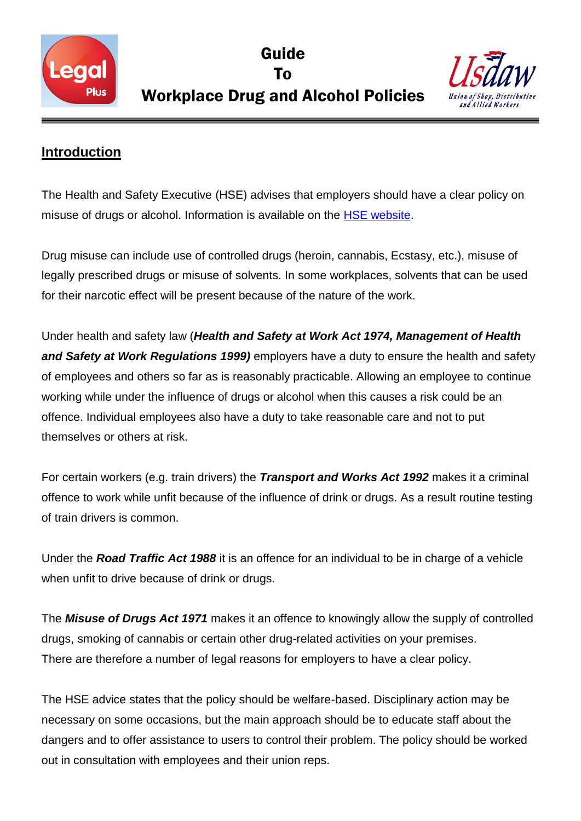

Guide To Workplace Drug and Alcohol Policies



## **Introduction**

The Health and Safety Executive (HSE) advises that employers should have a clear policy on misuse of drugs or alcohol. Information is available on the **HSE** website.

Drug misuse can include use of controlled drugs (heroin, cannabis, Ecstasy, etc.), misuse of legally prescribed drugs or misuse of solvents. In some workplaces, solvents that can be used for their narcotic effect will be present because of the nature of the work.

Under health and safety law (*Health and Safety at Work Act 1974, Management of Health and Safety at Work Regulations 1999)* employers have a duty to ensure the health and safety of employees and others so far as is reasonably practicable. Allowing an employee to continue working while under the influence of drugs or alcohol when this causes a risk could be an offence. Individual employees also have a duty to take reasonable care and not to put themselves or others at risk.

For certain workers (e.g. train drivers) the *Transport and Works Act 1992* makes it a criminal offence to work while unfit because of the influence of drink or drugs. As a result routine testing of train drivers is common.

Under the *Road Traffic Act 1988* it is an offence for an individual to be in charge of a vehicle when unfit to drive because of drink or drugs.

The *Misuse of Drugs Act 1971* makes it an offence to knowingly allow the supply of controlled drugs, smoking of cannabis or certain other drug-related activities on your premises. There are therefore a number of legal reasons for employers to have a clear policy.

The HSE advice states that the policy should be welfare-based. Disciplinary action may be necessary on some occasions, but the main approach should be to educate staff about the dangers and to offer assistance to users to control their problem. The policy should be worked out in consultation with employees and their union reps.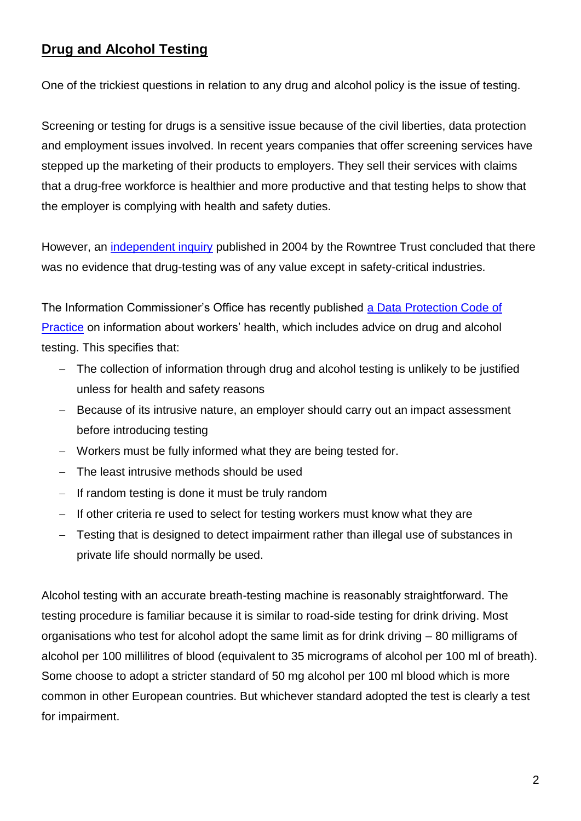# **Drug and Alcohol Testing**

One of the trickiest questions in relation to any drug and alcohol policy is the issue of testing.

Screening or testing for drugs is a sensitive issue because of the civil liberties, data protection and employment issues involved. In recent years companies that offer screening services have stepped up the marketing of their products to employers. They sell their services with claims that a drug-free workforce is healthier and more productive and that testing helps to show that the employer is complying with health and safety duties.

However, an [independent inquiry](http://www.jrf.org.uk/publications/drug-testing-workplacesummary-conclusions-independent-inquiry-drug-testing-work) published in 2004 by the Rowntree Trust concluded that there was no evidence that drug-testing was of any value except in safety-critical industries.

The Information Commissioner"s Office has recently published [a Data Protection Code of](https://ico.org.uk/media/for-organisations/documents/1064/the_employment_practices_code.pdf)  [Practice](https://ico.org.uk/media/for-organisations/documents/1064/the_employment_practices_code.pdf) on information about workers" health, which includes advice on drug and alcohol testing. This specifies that:

- The collection of information through drug and alcohol testing is unlikely to be justified unless for health and safety reasons
- Because of its intrusive nature, an employer should carry out an impact assessment before introducing testing
- Workers must be fully informed what they are being tested for.
- The least intrusive methods should be used
- $-I$  If random testing is done it must be truly random
- If other criteria re used to select for testing workers must know what they are
- Testing that is designed to detect impairment rather than illegal use of substances in private life should normally be used.

Alcohol testing with an accurate breath-testing machine is reasonably straightforward. The testing procedure is familiar because it is similar to road-side testing for drink driving. Most organisations who test for alcohol adopt the same limit as for drink driving – 80 milligrams of alcohol per 100 millilitres of blood (equivalent to 35 micrograms of alcohol per 100 ml of breath). Some choose to adopt a stricter standard of 50 mg alcohol per 100 ml blood which is more common in other European countries. But whichever standard adopted the test is clearly a test for impairment.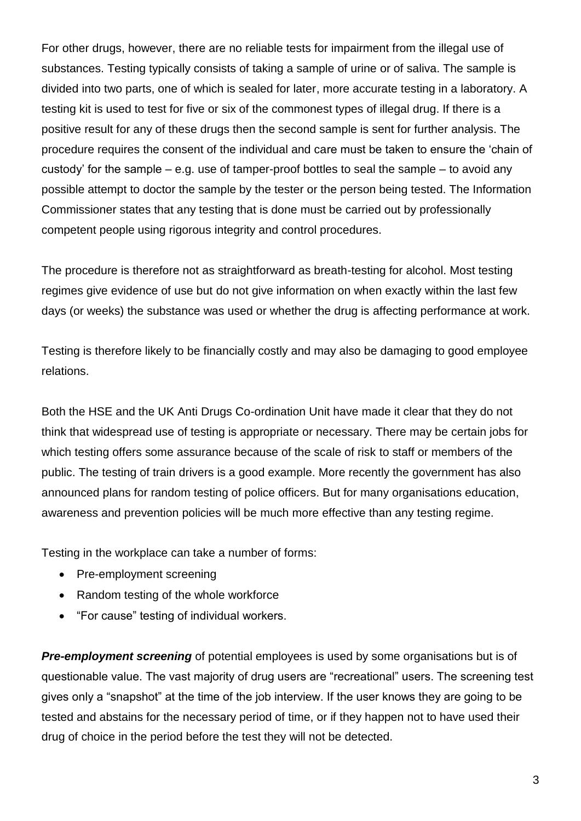For other drugs, however, there are no reliable tests for impairment from the illegal use of substances. Testing typically consists of taking a sample of urine or of saliva. The sample is divided into two parts, one of which is sealed for later, more accurate testing in a laboratory. A testing kit is used to test for five or six of the commonest types of illegal drug. If there is a positive result for any of these drugs then the second sample is sent for further analysis. The procedure requires the consent of the individual and care must be taken to ensure the "chain of custody" for the sample – e.g. use of tamper-proof bottles to seal the sample – to avoid any possible attempt to doctor the sample by the tester or the person being tested. The Information Commissioner states that any testing that is done must be carried out by professionally competent people using rigorous integrity and control procedures.

The procedure is therefore not as straightforward as breath-testing for alcohol. Most testing regimes give evidence of use but do not give information on when exactly within the last few days (or weeks) the substance was used or whether the drug is affecting performance at work.

Testing is therefore likely to be financially costly and may also be damaging to good employee relations.

Both the HSE and the UK Anti Drugs Co-ordination Unit have made it clear that they do not think that widespread use of testing is appropriate or necessary. There may be certain jobs for which testing offers some assurance because of the scale of risk to staff or members of the public. The testing of train drivers is a good example. More recently the government has also announced plans for random testing of police officers. But for many organisations education, awareness and prevention policies will be much more effective than any testing regime.

Testing in the workplace can take a number of forms:

- Pre-employment screening
- Random testing of the whole workforce
- "For cause" testing of individual workers.

**Pre-employment screening** of potential employees is used by some organisations but is of questionable value. The vast majority of drug users are "recreational" users. The screening test gives only a "snapshot" at the time of the job interview. If the user knows they are going to be tested and abstains for the necessary period of time, or if they happen not to have used their drug of choice in the period before the test they will not be detected.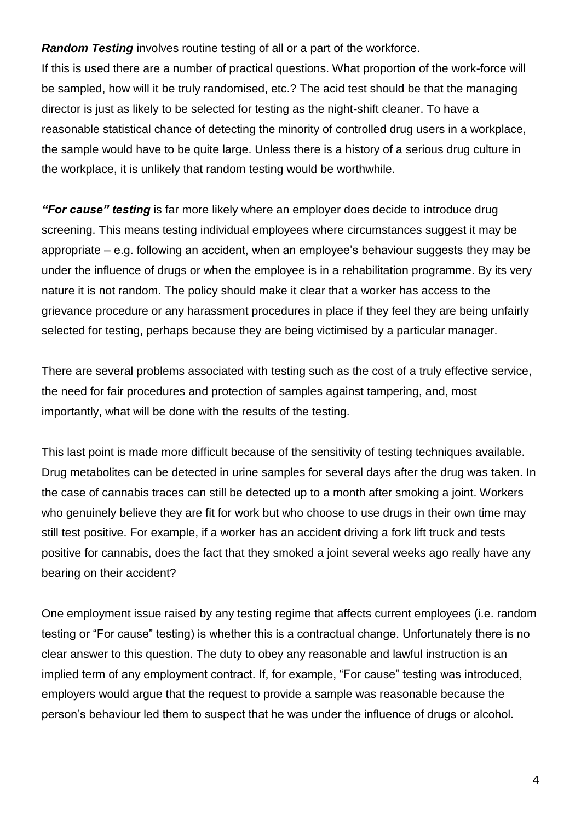*Random Testing* involves routine testing of all or a part of the workforce. If this is used there are a number of practical questions. What proportion of the work-force will be sampled, how will it be truly randomised, etc.? The acid test should be that the managing director is just as likely to be selected for testing as the night-shift cleaner. To have a reasonable statistical chance of detecting the minority of controlled drug users in a workplace, the sample would have to be quite large. Unless there is a history of a serious drug culture in the workplace, it is unlikely that random testing would be worthwhile.

*"For cause" testing* is far more likely where an employer does decide to introduce drug screening. This means testing individual employees where circumstances suggest it may be appropriate – e.g. following an accident, when an employee"s behaviour suggests they may be under the influence of drugs or when the employee is in a rehabilitation programme. By its very nature it is not random. The policy should make it clear that a worker has access to the grievance procedure or any harassment procedures in place if they feel they are being unfairly selected for testing, perhaps because they are being victimised by a particular manager.

There are several problems associated with testing such as the cost of a truly effective service, the need for fair procedures and protection of samples against tampering, and, most importantly, what will be done with the results of the testing.

This last point is made more difficult because of the sensitivity of testing techniques available. Drug metabolites can be detected in urine samples for several days after the drug was taken. In the case of cannabis traces can still be detected up to a month after smoking a joint. Workers who genuinely believe they are fit for work but who choose to use drugs in their own time may still test positive. For example, if a worker has an accident driving a fork lift truck and tests positive for cannabis, does the fact that they smoked a joint several weeks ago really have any bearing on their accident?

One employment issue raised by any testing regime that affects current employees (i.e. random testing or "For cause" testing) is whether this is a contractual change. Unfortunately there is no clear answer to this question. The duty to obey any reasonable and lawful instruction is an implied term of any employment contract. If, for example, "For cause" testing was introduced, employers would argue that the request to provide a sample was reasonable because the person"s behaviour led them to suspect that he was under the influence of drugs or alcohol.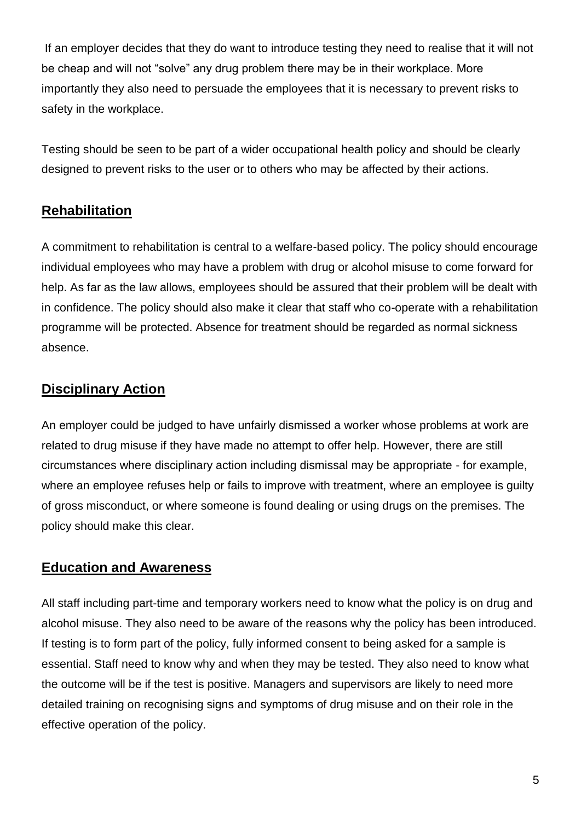If an employer decides that they do want to introduce testing they need to realise that it will not be cheap and will not "solve" any drug problem there may be in their workplace. More importantly they also need to persuade the employees that it is necessary to prevent risks to safety in the workplace.

Testing should be seen to be part of a wider occupational health policy and should be clearly designed to prevent risks to the user or to others who may be affected by their actions.

## **Rehabilitation**

A commitment to rehabilitation is central to a welfare-based policy. The policy should encourage individual employees who may have a problem with drug or alcohol misuse to come forward for help. As far as the law allows, employees should be assured that their problem will be dealt with in confidence. The policy should also make it clear that staff who co-operate with a rehabilitation programme will be protected. Absence for treatment should be regarded as normal sickness absence.

## **Disciplinary Action**

An employer could be judged to have unfairly dismissed a worker whose problems at work are related to drug misuse if they have made no attempt to offer help. However, there are still circumstances where disciplinary action including dismissal may be appropriate - for example, where an employee refuses help or fails to improve with treatment, where an employee is quilty of gross misconduct, or where someone is found dealing or using drugs on the premises. The policy should make this clear.

#### **Education and Awareness**

All staff including part-time and temporary workers need to know what the policy is on drug and alcohol misuse. They also need to be aware of the reasons why the policy has been introduced. If testing is to form part of the policy, fully informed consent to being asked for a sample is essential. Staff need to know why and when they may be tested. They also need to know what the outcome will be if the test is positive. Managers and supervisors are likely to need more detailed training on recognising signs and symptoms of drug misuse and on their role in the effective operation of the policy.